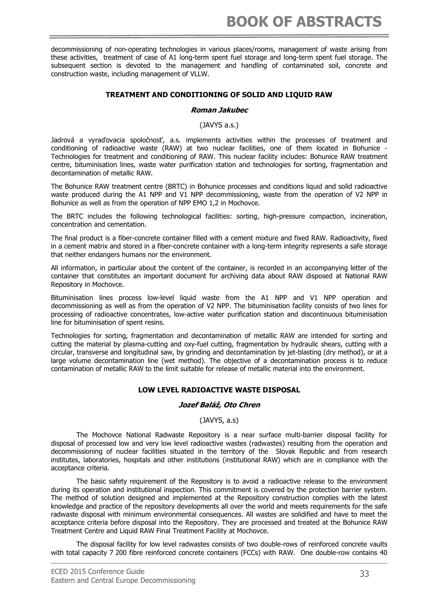decommissioning of non-operating technologies in various places/rooms, management of waste arising from these activities, treatment of case of A1 long-term spent fuel storage and long-term spent fuel storage. The subsequent section is devoted to the management and handling of contaminated soil, concrete and construction waste, including management of VLLW.

### **TREATMENT AND CONDITIONING OF SOLID AND LIQUID RAW**

#### **Roman Jakubec**

(JAVYS a.s.)

Jadrová a vyraďovacia spoločnosť, a.s. implements activities within the processes of treatment and conditioning of radioactive waste (RAW) at two nuclear facilities, one of them located in Bohunice - Technologies for treatment and conditioning of RAW. This nuclear facility includes: Bohunice RAW treatment centre, bituminisation lines, waste water purification station and technologies for sorting, fragmentation and decontamination of metallic RAW.

The Bohunice RAW treatment centre (BRTC) in Bohunice processes and conditions liquid and solid radioactive waste produced during the A1 NPP and V1 NPP decommissioning, waste from the operation of V2 NPP in Bohunice as well as from the operation of NPP EMO 1,2 in Mochovce.

The BRTC includes the following technological facilities: sorting, high-pressure compaction, incineration, concentration and cementation.

The final product is a fiber-concrete container filled with a cement mixture and fixed RAW. Radioactivity, fixed in a cement matrix and stored in a fiber-concrete container with a long-term integrity represents a safe storage that neither endangers humans nor the environment.

All information, in particular about the content of the container, is recorded in an accompanying letter of the container that constitutes an important document for archiving data about RAW disposed at National RAW Repository in Mochovce.

Bituminisation lines process low-level liquid waste from the A1 NPP and V1 NPP operation and decommissioning as well as from the operation of V2 NPP. The bituminisation facility consists of two lines for processing of radioactive concentrates, low-active water purification station and discontinuous bituminisation line for bituminisation of spent resins.

Technologies for sorting, fragmentation and decontamination of metallic RAW are intended for sorting and cutting the material by plasma-cutting and oxy-fuel cutting, fragmentation by hydraulic shears, cutting with a circular, transverse and longitudinal saw, by grinding and decontamination by jet-blasting (dry method), or at a large volume decontamination line (wet method). The objective of a decontamination process is to reduce contamination of metallic RAW to the limit suitable for release of metallic material into the environment.

### **LOW LEVEL RADIOACTIVE WASTE DISPOSAL**

### **Jozef Baláž, Oto Chren**

(JAVYS, a.s)

The Mochovce National Radwaste Repository is a near surface multi-barrier disposal facility for disposal of processed low and very low level radioactive wastes (radwastes) resulting from the operation and decommissioning of nuclear facilities situated in the territory of the Slovak Republic and from research institutes, laboratories, hospitals and other institutions (institutional RAW) which are in compliance with the acceptance criteria.

The basic safety requirement of the Repository is to avoid a radioactive release to the environment during its operation and institutional inspection. This commitment is covered by the protection barrier system. The method of solution designed and implemented at the Repository construction complies with the latest knowledge and practice of the repository developments all over the world and meets requirements for the safe radwaste disposal with minimum environmental consequences. All wastes are solidified and have to meet the acceptance criteria before disposal into the Repository. They are processed and treated at the Bohunice RAW Treatment Centre and Liquid RAW Final Treatment Facility at Mochovce.

The disposal facility for low level radwastes consists of two double-rows of reinforced concrete vaults with total capacity 7 200 fibre reinforced concrete containers (FCCs) with RAW. One double-row contains 40